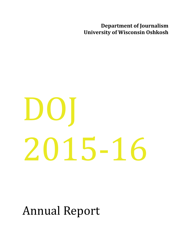**Department of Journalism University of Wisconsin Oshkosh** 

# $D()$ 2015-16

Annual Report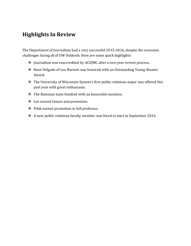## **Highlights In Review**

The Department of Journalism had a very successful 2015-2016, despite the economic challenges facing all of UW Oshkosh. Here are some quick highlights:

- ❖ Journalism was reaccredited by ACEJMC after a two-year review process.
- $\triangle$  Rene Delgado of Leo Burnett was honored with an Outstanding Young Alumni Award.
- $\cdot$  The University of Wisconsin System's first public relations major was offered this past year with great enthusiasm.
- $\cdot$  The Bateman team finished with an honorable mention.
- $\div$  Lee earned tenure and promotion.
- $\div$  Filak earned promotion to full professor.
- $\cdot$  A new public relations faculty member was hired to start in September 2016.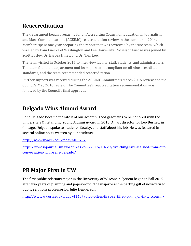# **Reaccreditation**

The department began preparing for an Accrediting Council on Education in Journalism and Mass Communications (ACEJMC) reaccreditation review in the summer of 2014. Members spent one year preparing the report that was reviewed by the site team, which was led by Pam Luecke of Washington and Lee University. Professor Luecke was joined by Scott Bosley, Dr. Barbra Hines, and Dr. Tien Lee.

The team visited in October 2015 to interview faculty, staff, students, and administrators. The team found the department and its majors to be compliant on all nine accreditation standards, and the team recommended reaccreditation.

Further support was received during the ACEJMC Committee's March 2016 review and the Council's May 2016 review. The Committee's reaccreditation recommendation was followed by the Council's final approval.

# **Delgado Wins Alumni Award**

Rene Delgado became the latest of our accomplished graduates to be honored with the university's Outstanding Young Alumni Award in 2015. An art director for Leo Burnett in Chicago, Delgado spoke to students, faculty, and staff about his job. He was featured in several online posts written by our students:

http://www.uwosh.edu/today/40575/

https://uwoshjournalism.wordpress.com/2015/10/29/five-things-we-learned-from-ourconversation-with-rene-delgado/

# **PR Major First in UW**

The first public relations major in the University of Wisconsin System began in Fall 2015 after two years of planning and paperwork. The major was the parting gift of now-retired public relations professor Dr. Julie Henderson.

http://www.uwosh.edu/today/41407/uwo-offers-first-certified-pr-major-in-wisconsin/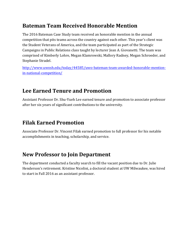# **Bateman Team Received Honorable Mention**

The 2016 Bateman Case Study team received an honorable mention in the annual competition that pits teams across the country against each other. This year's client was the Student Veterans of America, and the team participated as part of the Strategic Campaigns in Public Relations class taught by lecturer Jean A. Giovanetti. The team was comprised of Kimberly Lohre, Megan Klamrowski, Mallory Radney, Megan Schroeder, and Stephanie Stradel.

http://www.uwosh.edu/today/44585/uwo-bateman-team-awarded-honorable-mentionin-national-competition/

# Lee Earned Tenure and Promotion

Assistant Professor Dr. Shu-Yueh Lee earned tenure and promotion to associate professor after her six years of significant contributions to the university.

# **Filak Earned Promotion**

Associate Professor Dr. Vincent Filak earned promotion to full professor for his notable accomplishments in teaching, scholarship, and service.

## **New Professor to Join Department**

The department conducted a faculty search to fill the vacant position due to Dr. Julie Henderson's retirement. Kristine Nicolini, a doctoral student at UW Milwaukee, was hired to start in Fall 2016 as an assistant professor.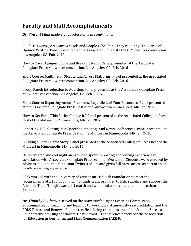# **Faculty and Staff Accomplishments**

*Dr. Vincent Filak* made eight professional presentations:

Clueless Twerps, Arrogant Weasels and People Who Think They're Funny: The Perils of Opinion Writing. Panel presented at the Associated Collegiate Press Midwinter convention. Los Angeles, CA. Feb. 2016.

How to Cover Campus Crime and Breaking News. Panel presented at the Associated Collegiate Press Midwinter convention. Los Angeles, CA. Feb. 2016

Short Course: Multimedia Storytelling Across Platforms. Panel presented at the Associated Collegiate Press Midwinter convention. Los Angeles, CA. Feb. 2016.

Group Panel: Introduction to Advising. Panel presented at the Associated Collegiate Press Midwinter convention. Los Angeles, CA. Feb. 2016.

Short Course: Reporting Across Platforms, Regardless of Your Resources. Panel presented at the Associated Collegiate Press Best of the Midwest in Minneapolis, MN Jan. 2016.

How to Get Past, "This Sucks. Change It." Panel presented at the Associated Collegiate Press Best of the Midwest in Minneapolis, MN Jan. 2016

Reporting 102: Getting Past Speeches, Meetings and News Conferences. Panel presented at the Associated Collegiate Press Best of the Midwest in Minneapolis, MN Jan. 2016

Building a Better Game Story. Panel presented at the Associated Collegiate Press Best of the Midwest in Minneapolis, MN Jan. 2016.

He co-created and co-taught an extended sports reporting and writing experience in association with Associated Collegiate Press Summer Workshop. Students were enrolled by advisers, taken to the Minnesota Twins stadium and given full press access as part of an ondeadline writing experience.

Filak worked with the University of Wisconsin-Oshkosh Foundation to meet the requirements of a \$50,000 matching-funds grant provided to help stabilize and support the Advance-Titan. The gift was a 1:1 match and we raised a matched total of more than \$104,000.

**Dr. Timothy R. Gleason** served on the university's Higher Learning Commission Subcommittee for teaching and learning to work toward university reaccreditation and the COLS Tenure and Renewal Committee. He is being trained as one of the Student Success Collaborative advising specialists. He reviewed 13 conference papers for the Association for Education in Journalism and Mass Communication (AEJMC).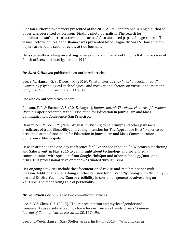Gleason authored two papers presented at the 2015 AEJMC conference. A single-authored paper was presented by Gleason, "Finding photojournalism: The search for photojournalism's birth as a term and practice." A co-authored paper, "Image control: The visual rhetoric of President Obama," was presented by colleague Dr. Sara S. Hansen. Both papers are under a second review at two journals.

He is currently working on a string of research about the Soviet Union's Katyn massacre of Polish officers and intelligentsia in 1940.

*Dr. Sara S. Hansen* published a co-authored article:

Lee, S. Y., Hansen, S. S., & Lee, J. K. (2016). What makes us click "like" on social media? Examining psychological, technological, and motivational factors on virtual endorsement. *Computer Communications,* 73, 332-341.

She also co-authored two papers:

Gleason, T. R. & Hansen, S. S. (2015, August). *Image control: The visual rhetoric of President Obama.* Paper presented at the Association for Education in Journalism and Mass Communication Conference, San Francisco.

Hansen, S. S. & Lee, S. Y. (2016, August). "'Wishing to be Trump' and other parasocial predictors of trust, likeability, and voting intention for The Apprentice Host." Paper to be presented at the Association for Education in Journalism and Mass Communication Conference, Minneapolis.

Hansen attended the one-day conference for "Experience Inbound," a Wisconsin Marketing and Sales Event, in May 2016 to gain insight about technology and social media communication with speakers from Google, HubSpot and other technology/marketing firms. This professional development was funded through IWM.

Her ongoing activities include the aforementioned revise-and-resubmit paper with Gleason. Additionally she is doing another revision for *Current Psychology* with Dr. Jin Kyun Lee and Dr. Shu-Yueh Lee, "Source credibility in consumer-generated advertising on YouTube: The moderating role of personality."

*Dr. Shu-Yueh Lee* published two co-authored articles:

Lee, S.-Y & Chen, Y.-S. (2015). "The representation and myths of gender and romance: A case study of leading characters in Taiwan's trendy drama." *Chinese Journal of Communication Research*, 28, 157-196.

Lee, Shu-Yueh, Hansen, Sara Steffes, & Lee, Jin Kyun (2015). "What makes us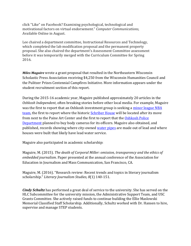click "Like" on Facebook? Examining psychological, technological and motivational factors on virtual endorsement." Computer Communications, Available Online in August.

Lee chaired a department committee, Instructional Resources and Technology, which completed the lab modification proposal and the permanent property proposal. She also chaired the department's Assessment Committee assessment before it was temporarily merged with the Curriculum Committee for Spring 2016.

*Miles Maguire* wrote a grant proposal that resulted in the Northeastern Wisconsin Scholastic Press Association receiving \$4,250 from the Wisconsin Humanities Council and the Pulitzer Prizes Centennial Campfires Initiative. More information appears under the student recruitment section of this report.

During the 2015-16 academic year, Maguire published approximately 20 articles in the *Oshkosh Independent*, often breaking stories before other local media. For example, Maguire was the first to report that an Oshkosh investment group is seeking a minor league NBA team, the first to report where the historic Schriber House will be located after its move from next to the Paine Art Center and the first to report that the Oshkosh Police Department planned to buy body cameras for its officers. Maguire also obtained, and published, records showing where city-owned water pipes are made out of lead and where houses were built that likely have lead water service.

Maguire also participated in academic scholarship:

Maguire, M. (2015). *The death of Corporal Miller: omission, transparency and the ethics of embedded journalism.* Paper presented at the annual conference of the Association for Education in Journalism and Mass Communication, San Francisco, CA.

Maguire, M. (2016). "Research review: Recent trends and topics in literary journalism scholarship." *Literary Journalism Studies, 8*(1) 140-151.

*Cindy Schultz* has performed a great deal of service to the university. She has served on the HLC Subcommittee for the university mission, the Administrative Support Team, and USC Grants Committee. She actively raised funds to continue building the Ellie Maslowski Memorial Classified Staff Scholarship. Additionally, Schultz worked with Dr. Hansen to hire, supervise and manage STEP students.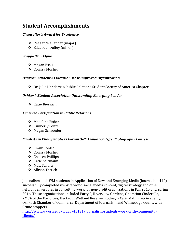# **Student Accomplishments**

#### *Chancellor's Award for Excellence*

- ◆ Reegan Wallander (major)
- ❖ Elizabeth Duffey (minor)

#### *Kappa Tau Alpha*

- ❖ Megan Esau
- ❖ Corissa Mosher

#### *Oshkosh Student Association Most Improved Organization*

◆ Dr. Julie Henderson Public Relations Student Society of America Chapter

#### **Oshkosh Student Association Outstanding Emerging Leader**

 $\div$  Katie Biersach

#### *Achieved Certification in Public Relations*

- $\div$  Madeline Fisher
- ❖ Kimberly Lohre
- ❖ Megan Schroeder

#### *Finalists in Photographers Forum 36<sup>th</sup> Annual College Photography Contest*

- **❖** Emily Conlee
- ❖ Corissa Mosher
- v Chelsea Phillips
- ❖ Katie Salzmann
- ❖ Matt Schultz
- ❖ Allison Tetrick

Journalism and IWM students in Application of New and Emerging Media (Journalism 440) successfully completed website work, social media content, digital strategy and other helpful deliverables in consulting work for non-profit organizations in Fall 2015 and Spring 2016. These organizations included Party.0, Riverview Gardens, Operation Cinderella, YMCA of the Fox Cities, Heckrodt Wetland Reserve, Rodney's Café, Math Prep Academy, Oshkosh Chamber of Commerce, Department of Journalism and Winnebago Countywide Crime Stoppers.

http://www.uwosh.edu/today/45131/journalism-students-work-with-communityclients/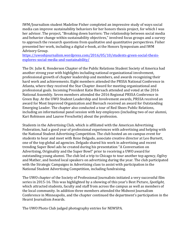IWM/Journalism student Madeline Fisher completed an impressive study of ways social media can improve sustainability behaviors for her honors thesis project, for which I was her advisor. The project, "Breaking down barriers: The relationship between social media and behavior change within sustainability objectives," involved focus groups and a survey to approach the research questions from qualitative and quantitative perspectives. Fisher presented her work, including a digital e-book, at the Honors Symposium and IWM Advisory Group.

https://uwoshjournalism.wordpress.com/2016/05/10/students-green-social-thesisexplores-social-media-and-sustainability/

The Dr. Julie K. Henderson Chapter of the Public Relations Student Society of America had another strong year with highlights including national organizational involvement, professional growth of chapter leadership and members, and awards recognizing their hard work and achievements. Eight members attended the PRSSA National Conference in Atlanta, where they received the Star Chapter Award for meeting organizational and professional goals. Incoming President Katie Biersach attended and voted at the 2016 National Assembly. Seven members attended the 2016 Regional PRSSA Conference in Green Bay. At the UWO Student Leadership and Involvement awards, PRSSA received an award for Most Improved Organization and Biersach received an award for Outstanding Emerging Leader. The chapter also conducted a tour of Red Shoes Public Relations, including an informational panel session with key employees (including two of our alumni, Kari Robinson and Lauree Freschette) about the profession.

Students in the Advertising Club, which is affiliated with the American Advertising Federation, had a good year of professional experiences with advertising and helping with the National Student Advertising Competition. The club hosted an on-campus event for students to hear and meet with Rene Delgado, associate creative director at Leo Burnett, one of the top global ad agencies. Delgado shared his work in advertising and recent trending Super Bowl ads he created during his presentation "A Conversation on Advertising, Originality and the Super Bowl" prior to receiving a UWO award for outstanding voung alumni. The club led a trip to Chicago to tour another top agency, Ogilvy and Mather, and hosted local speakers on advertising during the year. The club participated with the Strategic Campaigns in Advertising class to assist with participation in the National Student Advertising Competition, including fundraising.

The UWO chapter of the Society of Professional Journalists initiated a very successful film series in 2015-16. This was highlighted by a showing of this year's Best Picture, *Spotlight*, which attracted students, faculty and staff from across the campus as well as members of the local community. In addition three members attended the Midwest Journalism Conference in Minneapolis, and the chapter continued the department's participation in the Hearst Journalism Awards.

The UWO Photo Club judged photography entries for NEWSPA.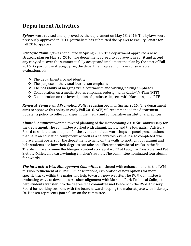## **Department Activities**

**Bylaws** were revised and approved by the department on May 13, 2016. The bylaws were previously approved in 2011. Journalism has submitted the bylaws to Faculty Senate for Fall 2016 approval.

*Strategic Planning* was conducted in Spring 2016. The department approved a new strategic plan on May 23, 2016. The department agreed to approve it in spirit and accept any copy edits over the summer to fully accept and implement the plan by the start of Fall 2016. As part of the strategic plan, the department agreed to make considerable evaluations of:

- $\div$  The department's brand identity
- $\div$  The purpose of the visual journalism emphasis
- $\cdot$  The possibility of merging visual journalism and writing/editing emphases
- $\triangleleft$  Collaboration on a media studies emphasis redesign with Radio-TV-Film (RTF)
- $\cdot$  Collaboration on the investigation of graduate degrees with Marketing and RTF

*Renewal, Tenure, and Promotion Policy* redesign began in Spring 2016. The department aims to approve this policy in early Fall 2016. ACEJMC recommended the department update its policy to reflect changes in the media and comparative institutional practices.

**Alumni Committee** worked toward planning of the Homecoming 2018 50<sup>th</sup> anniversary for the department. The committee worked with alumni, faculty and the Journalism Advisory Board to solicit ideas and plan for the event to include workshops or panel presentations that have an education component, as well as a celebratory event. It also completed two more alumni posters for the department to hang on the walls to spotlight our alumni and help students see how their degrees can take on different professional tracks in the field. The alumni are Jasmine Buchberger, content strategist – SEO at Laughlin Constable, and Pat Zietlow-Miller, an award-winning children's author. The committee nominated four alumni for awards.

*The Interactive Web Management Committee* continued with enhancements to the IWM mission, refinement of curriculum descriptions, exploration of new options for more specific tracks within the major and help toward a new website. The IWM Committee is evaluating ways to develop curriculum alignment with Moraine Park Technical College to help students transfer into the degree. The committee met twice with the IWM Advisory Board for working sessions with the board toward keeping the major at pace with industry. Dr. Hansen represents journalism on the committee.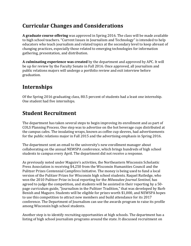# **Curricular Changes and Considerations**

A graduate course offering was approved in Spring 2016. The class will be made available to high school teachers. "Current Issues in Journalism and Technology" is intended to help educators who teach journalism and related topics at the secondary level to keep abreast of changing practices, especially those related to emerging technologies for information gathering, presentation, and distribution.

**A culminating experience was created** by the department and approved by APC. It will be up for review by the Faculty Senate in Fall 2016. Once approved, all journalism and public relations majors will undergo a portfolio review and exit interview before graduation.

# **Internships**

Of the Spring 2016 graduating class, 80.5 percent of students had a least one internship. One student had five internships.

# **Student Recruitment**

The department has taken several steps to begin improving its enrollment and as part of COLS Planning Process. One step was to advertise on the hot beverage cups distributed at the campus cafes. The insulating wraps, known as coffee cup sleeves, had advertisements for the public relations major in Fall 2015 and the advertising emphasis in Spring 2016.

The department sent an email to the university's new enrollment manager about collaborating on the annual NEWSPA conference, which brings hundreds of high school students to campus every April. The department did not receive a response.

As previously noted under Maguire's activities, the Northeastern Wisconsin Scholastic Press Association is receiving \$4,250 from the Wisconsin Humanities Council and the Pulitzer Prizes Centennial Campfires Initiative. The money is being used to fund a local version of the Pulitzer Prizes for Wisconsin high school students. Raquel Rutledge, who won the 2010 Pulitzer Prize in local reporting for the *Milwaukee Journal Sentinel*, has agreed to judge the competition, and students will be assisted in their reporting by a 50page curriculum guide, "Journalism in the Pulitzer Tradition," that was developed by Barb Benish and Maguire. Students will be eligible for prizes worth \$1,000, and NEWSPA hopes to use this competition to attract new members and build attendance for its 2017 conference. The Department of Journalism can use the awards program to raise its profile among Wisconsin high school students.

Another step is to identify recruiting opportunities at high schools. The department has a listing of high school journalism programs around the state. It discussed recruitment on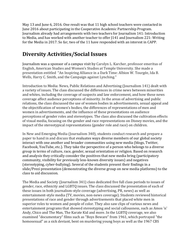May 13 and June 6, 2016. One result was that 11 high school teachers were contacted in June 2016 about participating in the Cooperative Academic Partnership Program. Journalism already had arrangements with two teachers for Journalism 141: Introduction to Media, and has worked with another teacher to offer [141 and Journalism 221: Writing for the Media in 2017. So far, two of the 11 have responded with an interest in CAPP.

# **Diversity Activities/Social Issues**

Journalism was a sponsor of a campus visit by Carolyn L. Karcher, professor emeritus of English, American Studies and Women's Studies at Temple University. She made a presentation entitled "An Inspiring Alliance in a Dark Time: Albion W. Tourgée, Ida B. Wells, Harry C. Smith, and the Campaign against Lynching."

Introduction to Media: News, Public Relations and Advertising (Journalism 141) dealt with a variety of issues. The class discussed the differences in crime news between minorities and whites, including the coverage of suspects and law enforcement, and how these news coverage affect audience perceptions of minority. In the areas of advertising and public relations, the class discussed the use of women bodies in advertisements, sexual appeal and the objectification of women's bodies, the differences of representations of men and women in advertisements, and the influence of these presentations on audience perceptions of gender roles and stereotypes. The class also discussed the cultivation effects of visual media, focusing on the gender and race representations on Disney movies, and the impact of the stereotypical representations (gender role and race) on children.

In New and Emerging Media (Journalism 340), students conduct research and prepare a paper to hand in and discuss that evaluates ways diverse members of our global society interact with one another and broader communities using new media (blogs, Twitter, Facebook, YouTube, etc.). They take the perspective of a person who belongs to a diverse group in terms of culture, race, gender, sexual orientation or religion. Based on research and analysis they critically consider the positives that new media bring (participatory community, visibility for previously less-known diversity issues) and negatives (stereotyping, cyber-bullying). Several of the students present their findings in a slide/Prezi presentation (demonstrating the diverse group on new media platforms) to the class to aid discussion.

The Media and Society (Journalism 341) class dedicated five full class periods to issues of gender, race, ethnicity and LGBTO issues. The class discussed the presentation of each of these issues in both journalism-style coverage (advertising, PR, news) as well as entertainment-style media (TV, movies, non-news coverage). Students reviewed historical presentations of race and gender through advertisements that placed white men in superior roles to women and people of color. They also saw clips of various news and entertainment programs that showed stereotyping and social callousness, such as Amos 'n' Andy, Chico and The Man, The Karate Kid and more. In the LGBTQ coverage, we also examined "documentary" films such as "Boys Beware" from 1961, which portrayed "the homosexual" as a sick deviant, bent on murdering young boys as well as the 1967 CBS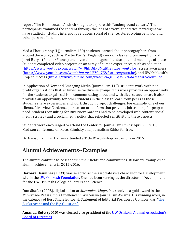report "The Homosexuals," which sought to explore this "underground culture." The participants examined the content through the lens of several theoretical paradigms we have studied, including intergroup relations, spiral of silence, stereotyping behavior and third-person effect.

Media Photography II (Journalism 430) students learned about photographers from around the world, such as Martin Parr's (England) work on class and consumption and Jozef Bury's (Poland/France) unconventional images of landscapes and meanings of spaces. Students completed video projects on an array of human experiences, such as addiction (https://www.youtube.com/watch?v=9hJHGIkUMuI&feature=youtu.be), stress awareness (https://www.youtube.com/watch?v=\_zrcLEZ047E&feature=youtu.be), and UW Oshkosh's Project Success (https://www.youtube.com/watch?v=gEESqM6VfLA&feature=youtu.be).

In Application of New and Emerging Media (Journalism 440), students work with nonprofit organizations that, at times, serve diverse groups. This work provides an opportunity for the students to gain skills in communicating about and with diverse audiences. It also provides an opportunity for other students in the class to learn from peers as those students share experiences and work through project challenges. For example, one of our clients, Riverview Gardens, operates an urban farm that provides job training for people in need. Students consulting for Riverview Gardens had to be developed web content, social media strategy and a social media policy that reflected sensitivity to these aspects.

Students were encouraged to attend the Center for Journalism Ethics' April 29, 2016, Madison conference on Race, Ethnicity and journalism Ethics for free.

Dr. Gleason and Dr. Hansen attended a Title IX workshop on campus in 2015.

# **Alumni Achievements--Examples**

The alumni continue to be leaders in their fields and communities. Below are examples of alumni achievements in 2015-2016.

**Barbara Beuscher** (1999) was selected as the associate vice chancellor for Development within the UW Oshkosh Foundation. She had been serving as the director of Development for the UW Oshkosh College of Letters and Science.

**Dan Shafer** (2008), digital editor at *Milwaukee Magazine*, received a gold award in the Milwaukee Press Club's Excellence in Wisconsin Journalism Awards. His winning work, in the category of Best Single Editorial, Statement of Editorial Position or Opinion, was "The Bucks Arena and the Big Question."

**Amanda Betts** (2010) was elected vice president of the UW Oshkosh Alumni Association's **Board of Directors.**